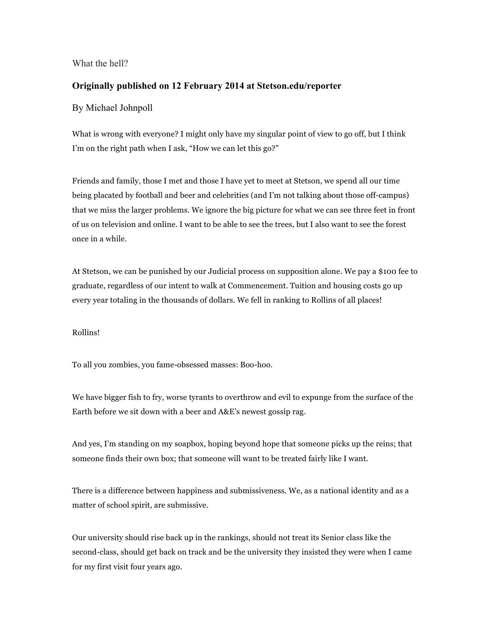## What the hell?

## **Originally published on 12 February 2014 at Stetson.edu/reporter**

## By Michael Johnpoll

What is wrong with everyone? I might only have my singular point of view to go off, but I think I'm on the right path when I ask, "How we can let this go?"

Friends and family, those I met and those I have yet to meet at Stetson, we spend all our time being placated by football and beer and celebrities (and I'm not talking about those off-campus) that we miss the larger problems. We ignore the big picture for what we can see three feet in front of us on television and online. I want to be able to see the trees, but I also want to see the forest once in a while.

At Stetson, we can be punished by our Judicial process on supposition alone. We pay a \$100 fee to graduate, regardless of our intent to walk at Commencement. Tuition and housing costs go up every year totaling in the thousands of dollars. We fell in ranking to Rollins of all places!

## Rollins!

To all you zombies, you fame-obsessed masses: Boo-hoo.

We have bigger fish to fry, worse tyrants to overthrow and evil to expunge from the surface of the Earth before we sit down with a beer and A&E's newest gossip rag.

And yes, I'm standing on my soapbox, hoping beyond hope that someone picks up the reins; that someone finds their own box; that someone will want to be treated fairly like I want.

There is a difference between happiness and submissiveness. We, as a national identity and as a matter of school spirit, are submissive.

Our university should rise back up in the rankings, should not treat its Senior class like the second-class, should get back on track and be the university they insisted they were when I came for my first visit four years ago.